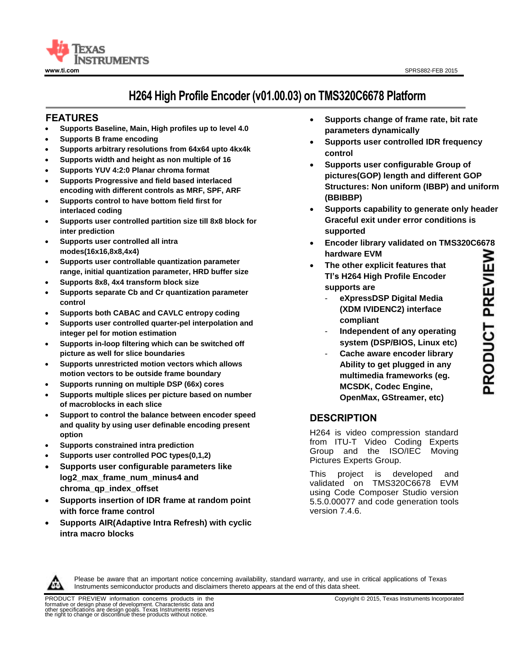

# **H264 High Profile Encoder (v01.00.03) on TMS320C6678 Platform**

# **<sup>11</sup>FEATURES**

- **Supports Baseline, Main, High profiles up to level 4.0**
- **Supports B frame encoding**
- **Supports arbitrary resolutions from 64x64 upto 4kx4k**
- **Supports width and height as non multiple of 16**
- **Supports YUV 4:2:0 Planar chroma format**
- **Supports Progressive and field based interlaced encoding with different controls as MRF, SPF, ARF**
- **Supports control to have bottom field first for interlaced coding**
- **Supports user controlled partition size till 8x8 block for inter prediction**
- **Supports user controlled all intra modes(16x16,8x8,4x4)**
- **Supports user controllable quantization parameter range, initial quantization parameter, HRD buffer size**
- **Supports 8x8, 4x4 transform block size**
- **Supports separate Cb and Cr quantization parameter control**
- **Supports both CABAC and CAVLC entropy coding**
- **Supports user controlled quarter-pel interpolation and integer pel for motion estimation**
- **Supports in-loop filtering which can be switched off picture as well for slice boundaries**
- **Supports unrestricted motion vectors which allows motion vectors to be outside frame boundary**
- **Supports running on multiple DSP (66x) cores**
- **Supports multiple slices per picture based on number of macroblocks in each slice**
- **Support to control the balance between encoder speed and quality by using user definable encoding present option**
- **Supports constrained intra prediction**
- **Supports user controlled POC types(0,1,2)**
- **Supports user configurable parameters like log2\_max\_frame\_num\_minus4 and chroma\_qp\_index\_offset**
- **Supports insertion of IDR frame at random point with force frame control**
- **Supports AIR(Adaptive Intra Refresh) with cyclic intra macro blocks**
- **Supports change of frame rate, bit rate parameters dynamically**
- **Supports user controlled IDR frequency control**
- **Supports user configurable Group of pictures(GOP) length and different GOP Structures: Non uniform (IBBP) and uniform (BBIBBP)**
- **Supports capability to generate only header Graceful exit under error conditions is supported**
- **Encoder library validated on TMS320C6678 hardware EVM**
- **The other explicit features that TI's H264 High Profile Encoder supports are** 
	- **eXpressDSP Digital Media (XDM IVIDENC2) interface compliant**
	- **Independent of any operating system (DSP/BIOS, Linux etc)**
	- **Cache aware encoder library Ability to get plugged in any multimedia frameworks (eg. MCSDK, Codec Engine, OpenMax, GStreamer, etc)**

# **DESCRIPTION**

H264 is video compression standard from ITU-T Video Coding Experts Group and the ISO/IEC Moving Pictures Experts Group.

This project is developed and validated on TMS320C6678 EVM using Code Composer Studio version 5.5.0.00077 and code generation tools version 7.4.6.



Please be aware that an important notice concerning availability, standard warranty, and use in critical applications of Texas Instruments semiconductor products and disclaimers thereto appears at the end of this data sheet.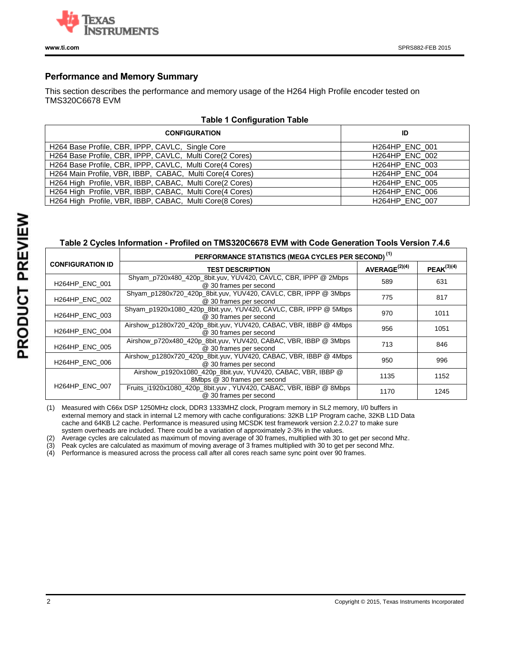

### **Performance and Memory Summary**

This section describes the performance and memory usage of the H264 High Profile encoder tested on TMS320C6678 EVM

| raple 1 Configuration Table                              |                       |  |  |  |  |
|----------------------------------------------------------|-----------------------|--|--|--|--|
| <b>CONFIGURATION</b>                                     | ID                    |  |  |  |  |
| H264 Base Profile, CBR, IPPP, CAVLC, Single Core         | <b>H264HP ENC 001</b> |  |  |  |  |
| H264 Base Profile, CBR, IPPP, CAVLC, Multi Core(2 Cores) | H264HP_ENC_002        |  |  |  |  |
| H264 Base Profile, CBR, IPPP, CAVLC, Multi Core(4 Cores) | <b>H264HP ENC 003</b> |  |  |  |  |
| H264 Main Profile, VBR, IBBP, CABAC, Multi Core(4 Cores) | H264HP_ENC_004        |  |  |  |  |
| H264 High Profile, VBR, IBBP, CABAC, Multi Core(2 Cores) | H264HP_ENC_005        |  |  |  |  |
| H264 High Profile, VBR, IBBP, CABAC, Multi Core(4 Cores) | H264HP_ENC_006        |  |  |  |  |
| H264 High Profile, VBR, IBBP, CABAC, Multi Core(8 Cores) | H264HP_ENC_007        |  |  |  |  |

**Table 1 Configuration Table**

# **Table 2 Cycles Information - Profiled on TMS320C6678 EVM with Code Generation Tools Version 7.4.6**

|                         | PERFORMANCE STATISTICS (MEGA CYCLES PER SECOND) <sup>(1)</sup>                               |                           |                 |
|-------------------------|----------------------------------------------------------------------------------------------|---------------------------|-----------------|
| <b>CONFIGURATION ID</b> | <b>TEST DESCRIPTION</b>                                                                      | AVERAGE <sup>(2)(4)</sup> | $PEAK^{(3)(4)}$ |
| <b>H264HP ENC 001</b>   | Shyam_p720x480_420p_8bit.yuv, YUV420, CAVLC, CBR, IPPP @ 2Mbps<br>@ 30 frames per second     | 589                       | 631             |
| <b>H264HP ENC 002</b>   | Shyam p1280x720 420p 8bit.yuv, YUV420, CAVLC, CBR, IPPP @ 3Mbps<br>@ 30 frames per second    | 775                       | 817             |
| <b>H264HP ENC 003</b>   | Shyam_p1920x1080_420p_8bit.yuv, YUV420, CAVLC, CBR, IPPP @ 5Mbps<br>@ 30 frames per second   | 970                       | 1011            |
| <b>H264HP ENC 004</b>   | Airshow_p1280x720_420p_8bit.yuv, YUV420, CABAC, VBR, IBBP @ 4Mbps<br>@ 30 frames per second  | 956                       | 1051            |
| <b>H264HP ENC 005</b>   | Airshow p720x480 420p 8bit.yuv, YUV420, CABAC, VBR, IBBP @ 3Mbps<br>@ 30 frames per second   | 713                       | 846             |
| <b>H264HP ENC 006</b>   | Airshow_p1280x720_420p_8bit.yuv, YUV420, CABAC, VBR, IBBP @ 4Mbps<br>@ 30 frames per second  | 950                       | 996             |
|                         | Airshow_p1920x1080_420p_8bit.yuv, YUV420, CABAC, VBR, IBBP @<br>8Mbps @ 30 frames per second | 1135                      | 1152            |
| <b>H264HP ENC 007</b>   | Fruits_i1920x1080_420p_8bit.yuv, YUV420, CABAC, VBR, IBBP @ 8Mbps<br>@ 30 frames per second  | 1170                      | 1245            |

(1) Measured with C66x DSP 1250MHz clock, DDR3 1333MHZ clock, Program memory in SL2 memory, I/0 buffers in external memory and stack in internal L2 memory with cache configurations: 32KB L1P Program cache, 32KB L1D Data cache and 64KB L2 cache. Performance is measured using MCSDK test framework version 2.2.0.27 to make sure system overheads are included. There could be a variation of approximately 2-3% in the values.

(2) Average cycles are calculated as maximum of moving average of 30 frames, multiplied with 30 to get per second Mhz.

(3) Peak cycles are calculated as maximum of moving average of 3 frames multiplied with 30 to get per second Mhz.

(4) Performance is measured across the process call after all cores reach same sync point over 90 frames.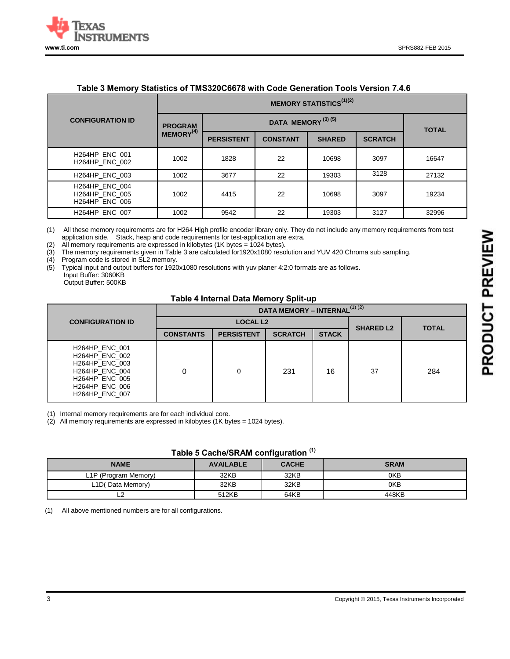

#### **Table 3 Memory Statistics of TMS320C6678 with Code Generation Tools Version 7.4.6**

|                                                                  | <b>MEMORY STATISTICS</b> <sup>(1)(2)</sup> |                               |                 |               |                |              |
|------------------------------------------------------------------|--------------------------------------------|-------------------------------|-----------------|---------------|----------------|--------------|
| <b>CONFIGURATION ID</b>                                          | <b>PROGRAM</b>                             | DATA MEMORY <sup>(3)(5)</sup> |                 |               |                | <b>TOTAL</b> |
|                                                                  | MEMORY <sup>(4)</sup>                      | <b>PERSISTENT</b>             | <b>CONSTANT</b> | <b>SHARED</b> | <b>SCRATCH</b> |              |
| H264HP_ENC_001<br><b>H264HP ENC 002</b>                          | 1002                                       | 1828                          | 22              | 10698         | 3097           | 16647        |
| <b>H264HP ENC 003</b>                                            | 1002                                       | 3677                          | 22              | 19303         | 3128           | 27132        |
| <b>H264HP ENC 004</b><br>H264HP_ENC_005<br><b>H264HP ENC 006</b> | 1002                                       | 4415                          | 22              | 10698         | 3097           | 19234        |
| H264HP ENC 007                                                   | 1002                                       | 9542                          | 22              | 19303         | 3127           | 32996        |

(1) All these memory requirements are for H264 High profile encoder library only. They do not include any memory requirements from test application side. Stack, heap and code requirements for test-application are extra.

(2) All memory requirements are expressed in kilobytes  $(1K$  bytes = 1024 bytes).<br>(3) The memory requirements given in Table 3 are calculated for 1920x1080 resc The memory requirements given in Table 3 are calculated for1920x1080 resolution and YUV 420 Chroma sub sampling.

(4) Program code is stored in SL2 memory.

(5) Typical input and output buffers for 1920x1080 resolutions with yuv planer 4:2:0 formats are as follows. Input Buffer: 3060KB

Output Buffer: 500KB

#### **Table 4 Internal Data Memory Split-up**

|                                                                                                                                                                      | DATA MEMORY - INTERNAL <sup>(1)(2)</sup> |                   |                  |              |    |     |
|----------------------------------------------------------------------------------------------------------------------------------------------------------------------|------------------------------------------|-------------------|------------------|--------------|----|-----|
| <b>CONFIGURATION ID</b>                                                                                                                                              |                                          | <b>LOCAL L2</b>   | <b>SHARED L2</b> | <b>TOTAL</b> |    |     |
|                                                                                                                                                                      | <b>CONSTANTS</b>                         | <b>PERSISTENT</b> | <b>SCRATCH</b>   | <b>STACK</b> |    |     |
| <b>H264HP ENC 001</b><br><b>H264HP ENC 002</b><br>H264HP ENC 003<br><b>H264HP ENC 004</b><br><b>H264HP ENC 005</b><br><b>H264HP ENC 006</b><br><b>H264HP ENC 007</b> |                                          | 0                 | 231              | 16           | 37 | 284 |

(1) Internal memory requirements are for each individual core.

(2) All memory requirements are expressed in kilobytes (1K bytes = 1024 bytes).

#### **Table 5 Cache/SRAM configuration (1)**

| <b>NAME</b>          | <b>AVAILABLE</b> | <b>CACHE</b> | <b>SRAM</b> |
|----------------------|------------------|--------------|-------------|
| L1P (Program Memory) | 32KB             | 32KB         | 0KB         |
| L1D(Data Memory)     | 32KB             | 32KB         | 0KB         |
|                      | 512KB            | 64KB         | 448KB       |

(1) All above mentioned numbers are for all configurations.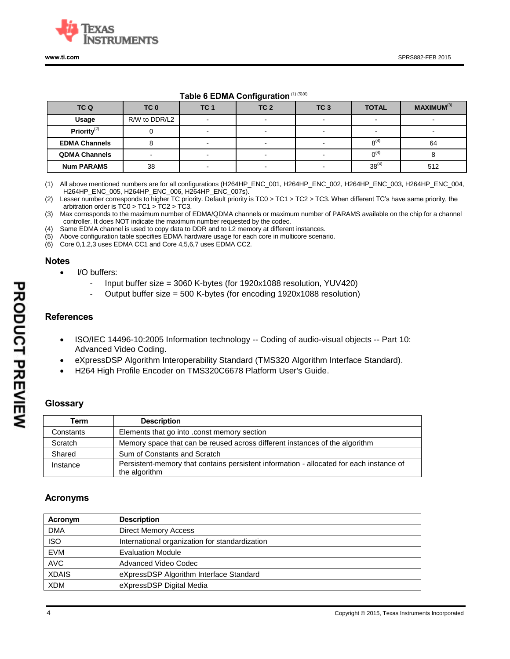

## **Table 6 EDMA Configuration**(1) (5)(6)

| TC Q                 | TC <sub>0</sub> | TC <sub>1</sub>          | TC <sub>2</sub> | TC <sub>3</sub>          | <b>TOTAL</b>             | <b>MAXIMUM(3)</b> |
|----------------------|-----------------|--------------------------|-----------------|--------------------------|--------------------------|-------------------|
| Usage                | R/W to DDR/L2   |                          |                 |                          |                          |                   |
| Priority $(2)$       |                 | $\sim$                   |                 | $\overline{\phantom{0}}$ | $\overline{\phantom{a}}$ |                   |
| <b>EDMA Channels</b> |                 | $\overline{\phantom{0}}$ |                 | $\overline{\phantom{0}}$ | $8^{(4)}$                | 64                |
| <b>QDMA Channels</b> |                 |                          |                 |                          | $0^{(4)}$                |                   |
| <b>Num PARAMS</b>    | 38              |                          |                 |                          | $38^{(4)}$               | 512               |

(1) All above mentioned numbers are for all configurations (H264HP\_ENC\_001, H264HP\_ENC\_002, H264HP\_ENC\_003, H264HP\_ENC\_004, H264HP\_ENC\_005, H264HP\_ENC\_006, H264HP\_ENC\_007s).

(2) Lesser number corresponds to higher TC priority. Default priority is TC0 > TC1 > TC2 > TC3. When different TC's have same priority, the arbitration order is TC0 > TC1 > TC2 > TC3.

(3) Max corresponds to the maximum number of EDMA/QDMA channels or maximum number of PARAMS available on the chip for a channel controller. It does NOT indicate the maximum number requested by the codec.

(4) Same EDMA channel is used to copy data to DDR and to L2 memory at different instances.

(5) Above configuration table specifies EDMA hardware usage for each core in multicore scenario.

(6) Core 0,1,2,3 uses EDMA CC1 and Core 4,5,6,7 uses EDMA CC2.

#### **Notes**

- I/O buffers:
	- Input buffer size = 3060 K-bytes (for 1920x1088 resolution, YUV420)
	- Output buffer size = 500 K-bytes (for encoding 1920x1088 resolution)

## **References**

- ISO/IEC 14496-10:2005 Information technology -- Coding of audio-visual objects -- Part 10: Advanced Video Coding.
- eXpressDSP Algorithm Interoperability Standard (TMS320 Algorithm Interface Standard).
- H264 High Profile Encoder on TMS320C6678 Platform User's Guide.

## **Glossary**

| Term      | <b>Description</b>                                                                      |
|-----------|-----------------------------------------------------------------------------------------|
| Constants | Elements that go into .const memory section                                             |
| Scratch   | Memory space that can be reused across different instances of the algorithm             |
| Shared    | Sum of Constants and Scratch                                                            |
| Instance  | Persistent-memory that contains persistent information - allocated for each instance of |
|           | the algorithm                                                                           |

## **Acronyms**

| Acronym      | <b>Description</b>                             |
|--------------|------------------------------------------------|
| <b>DMA</b>   | <b>Direct Memory Access</b>                    |
| <b>ISO</b>   | International organization for standardization |
| <b>EVM</b>   | <b>Evaluation Module</b>                       |
| <b>AVC</b>   | Advanced Video Codec                           |
| <b>XDAIS</b> | eXpressDSP Algorithm Interface Standard        |
| <b>XDM</b>   | eXpressDSP Digital Media                       |